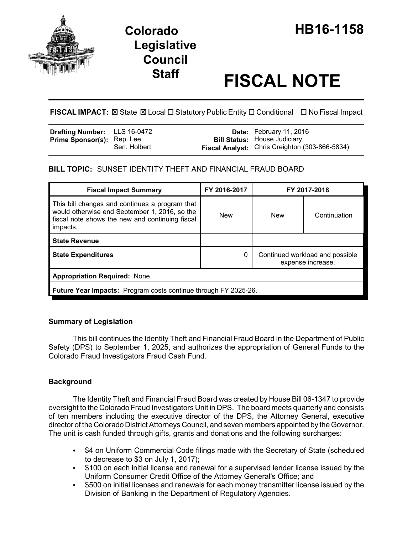

# **Legislative Council**

# **Staff FISCAL NOTE**

**FISCAL IMPACT:** ⊠ State ⊠ Local □ Statutory Public Entity □ Conditional □ No Fiscal Impact

| <b>Drafting Number:</b> LLS 16-0472 |              | <b>Date:</b> February 11, 2016                        |
|-------------------------------------|--------------|-------------------------------------------------------|
| <b>Prime Sponsor(s): Rep. Lee</b>   |              | <b>Bill Status: House Judiciary</b>                   |
|                                     | Sen. Holbert | <b>Fiscal Analyst:</b> Chris Creighton (303-866-5834) |

# **BILL TOPIC:** SUNSET IDENTITY THEFT AND FINANCIAL FRAUD BOARD

| <b>Fiscal Impact Summary</b>                                                                                                                                   | FY 2016-2017 | FY 2017-2018                                         |              |  |  |
|----------------------------------------------------------------------------------------------------------------------------------------------------------------|--------------|------------------------------------------------------|--------------|--|--|
| This bill changes and continues a program that<br>would otherwise end September 1, 2016, so the<br>fiscal note shows the new and continuing fiscal<br>impacts. | <b>New</b>   | <b>New</b>                                           | Continuation |  |  |
| <b>State Revenue</b>                                                                                                                                           |              |                                                      |              |  |  |
| <b>State Expenditures</b>                                                                                                                                      | 0            | Continued workload and possible<br>expense increase. |              |  |  |
| <b>Appropriation Required: None.</b>                                                                                                                           |              |                                                      |              |  |  |
| <b>Future Year Impacts:</b> Program costs continue through FY 2025-26.                                                                                         |              |                                                      |              |  |  |

## **Summary of Legislation**

This bill continues the Identity Theft and Financial Fraud Board in the Department of Public Safety (DPS) to September 1, 2025, and authorizes the appropriation of General Funds to the Colorado Fraud Investigators Fraud Cash Fund.

# **Background**

The Identity Theft and Financial Fraud Board was created by House Bill 06-1347 to provide oversight to the Colorado Fraud Investigators Unit in DPS. The board meets quarterly and consists of ten members including the executive director of the DPS, the Attorney General, executive director of the Colorado District Attorneys Council, and seven members appointed by the Governor. The unit is cash funded through gifts, grants and donations and the following surcharges:

- \$4 on Uniform Commercial Code filings made with the Secretary of State (scheduled to decrease to \$3 on July 1, 2017);
- \$100 on each initial license and renewal for a supervised lender license issued by the Uniform Consumer Credit Office of the Attorney General's Office; and
- \$500 on initial licenses and renewals for each money transmitter license issued by the Division of Banking in the Department of Regulatory Agencies.